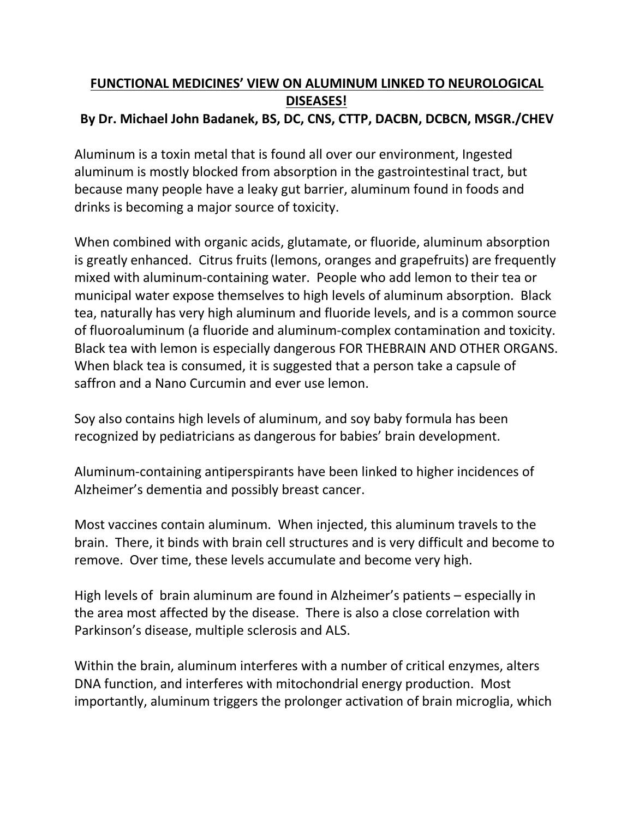## **FUNCTIONAL MEDICINES' VIEW ON ALUMINUM LINKED TO NEUROLOGICAL DISEASES! By Dr. Michael John Badanek, BS, DC, CNS, CTTP, DACBN, DCBCN, MSGR./CHEV**

Aluminum is a toxin metal that is found all over our environment, Ingested aluminum is mostly blocked from absorption in the gastrointestinal tract, but because many people have a leaky gut barrier, aluminum found in foods and drinks is becoming a major source of toxicity.

When combined with organic acids, glutamate, or fluoride, aluminum absorption is greatly enhanced. Citrus fruits (lemons, oranges and grapefruits) are frequently mixed with aluminum-containing water. People who add lemon to their tea or municipal water expose themselves to high levels of aluminum absorption. Black tea, naturally has very high aluminum and fluoride levels, and is a common source of fluoroaluminum (a fluoride and aluminum-complex contamination and toxicity.<br>Black tea with lemon is especially dangerous FOR THEBRAIN AND OTHER ORGANS. When black tea is consumed, it is suggested that a person take a capsule of saffron and a Nano Curcumin and ever use lemon.

Soy also contains high levels of aluminum, and soy baby formula has been recognized by pediatricians as dangerous for babies' brain development.

Aluminum-containing antiperspirants have been linked to higher incidences of Alzheimer's dementia and possibly breast cancer.

Most vaccines contain aluminum. When injected, this aluminum travels to the brain. There, it binds with brain cell structures and is very difficult and become to remove. Over time, these levels accumulate and become very high.

High levels of brain aluminum are found in Alzheimer's patients – especially in the area most affected by the disease. There is also a close correlation with Parkinson's disease, multiple sclerosis and ALS.

Within the brain, aluminum interferes with a number of critical enzymes, alters DNA function, and interferes with mitochondrial energy production. Most importantly, aluminum triggers the prolonger activation of brain microglia, which